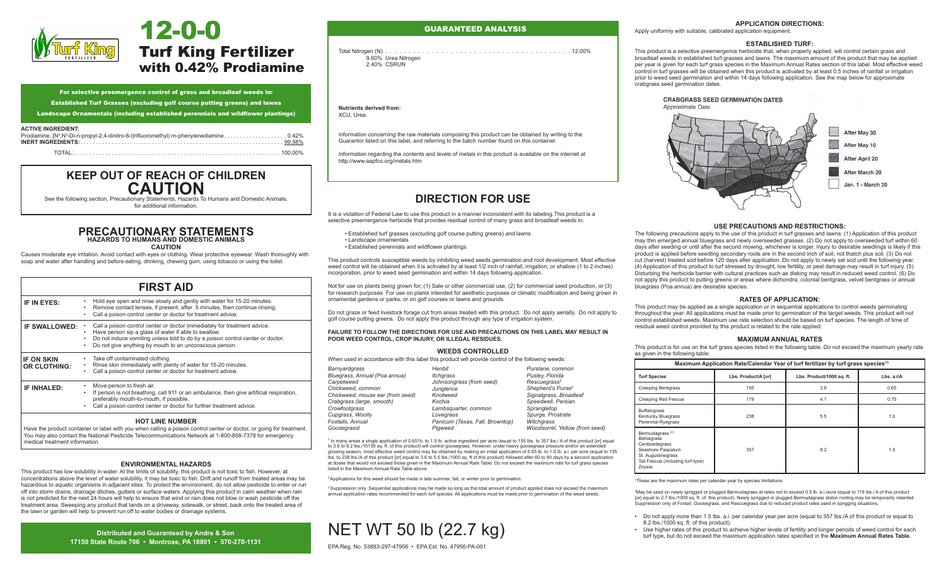

# Turf King Fertilizer with 0.42% Prodiamine 12-0-0

| For selective preemergence control of grass and broadleaf weeds in: |  |  |  |  |  |  |  |  |
|---------------------------------------------------------------------|--|--|--|--|--|--|--|--|
|                                                                     |  |  |  |  |  |  |  |  |

Established Turf Grasses (excluding golf course putting greens) and lawns

Landscape Ornamentals (including established perennials and wildflower plantings)

### **ACTIVE INGREDIENT:**

| ___________________ |  |
|---------------------|--|
|                     |  |

## **KEEP OUT OF REACH OF CHILDREN CAUTION**<br>See the following section, Precautionary Statements, Hazards To Humans and Domestic Animals,

for additional information.

### **PRECAUTIONARY STATEMENTS HAZARDS TO HUMANS AND DOMESTIC ANIMALS**

**CAUTION** 

Causes moderate eye irritation. Avoid contact with eyes or clothing. Wear protective eyewear. Wash thoroughly with soap and water after handling and before eating, drinking, chewing gum, using tobacco or using the toilet.

|                                          | <b>FIRST AID</b>                                                                                                                                                                                                                                                                   |
|------------------------------------------|------------------------------------------------------------------------------------------------------------------------------------------------------------------------------------------------------------------------------------------------------------------------------------|
| IF IN EYES:                              | Hold eye open and rinse slowly and gently with water for 15-20 minutes.<br>Remove contact lenses, if present, after 5 minutes, then continue rinsing.<br>Call a poison control center or doctor for treatment advice.<br>٠                                                         |
| <b>IF SWALLOWED:</b>                     | Call a poison control center or doctor immediately for treatment advice.<br>Have person sip a glass of water if able to swallow.<br>Do not induce vomiting unless told to do by a poison control center or doctor.<br>Do not give anything by mouth to an unconscious person.<br>٠ |
| <b>IF ON SKIN</b><br><b>OR CLOTHING:</b> | Take off contaminated clothing.<br>Rinse skin immediately with plenty of water for 15-20 minutes.<br>٠<br>Call a poison control center or doctor for treatment advice.<br>٠                                                                                                        |
| <b>IF INHALED:</b>                       | Move person to fresh air.<br>If person is not breathing, call 911 or an ambulance, then give artificial respiration,<br>٠<br>preferably mouth-to-mouth, if possible.<br>Call a poison control center or doctor for further treatment advice.                                       |
|                                          | <b>HOT LINE NUMBER</b>                                                                                                                                                                                                                                                             |

Have the product container or label with you when calling a poison control center or doctor, or going for treatment. You may also contact the National Pesticide Telecommunications Network at 1-800-858-7378 for emergency medical treatment information.

### **ENVIRONMENTAL HAZARDS**

This product has low solubility in water. At the limits of solubility, this product is not toxic to fish. However, at concentrations above the level of water solubility, it may be toxic to fish. Drift and runoff from treated areas may be hazardous to aquatic organisms in adjacent sites. To protect the environment, do not allow pesticide to enter or run off into storm drains, drainage ditches, gutters or surface waters. Applying this product in calm weather when rain is not predicted for the next 24 hours will help to ensure that wind or rain does not blow or wash pesticide off the treatment area. Sweeping any product that lands on a driveway, sidewalk, or street, back onto the treated area of the lawn or garden will help to prevent run off to water bodies or drainage systems.

> **Distributed and Guaranteed by Andre & Son 17150 State Route 706 • Montrose, PA 18801 • 570-278-1131**

### GUARANTEED ANALYSIS

Total Nitrogen (N). 12.00% 9.60% Urea Nitrogen 2.40% CSRUN

**Nutrients derived from:** XCU, Urea.

Information concerning the raw materials composing this product can be obtained by writing to the Guarantor listed on this label, and referring to the batch number found on this container.

Information regarding the contents and levels of metals in this product is available on the internet at http://www.aapfco.org/metals.htm

It is a violation of Federal Law to use this product in a manner inconsistent with its labeling. This product is a selective preemergence herbicide that provides residual control of many grass and broadleaf weeds in:

### **DIRECTION FOR USE**

• Established turf grasses (excluding golf course putting greens) and lawns • Landscape ornamentals • Established perennials and wildflower plantings

This product controls susceptible weeds by inhibiting weed seeds germination and root development. Most effective weed control will be obtained when it is activated by at least 1/2 inch of rainfall, irrigation, or shallow (1 to 2 inches) incorporation, prior to weed seed germination and within 14 days following application.

Not for use on plants being grown for; (1) Sale or other commercial use, (2) for commercial seed production, or (3) for research purposes. For use on plants intended for aesthetic purposes or climatic modification and being grown in ornamental gardens or parks, or on golf courses or lawns and grounds.

Do not graze or feed livestock forage cut from areas treated with this product. Do not apply aerially. Do not apply to golf course putting greens. Do not apply this product through any type of irrigation system.

**FAILURE TO FOLLOW THE DIRECTIONS FOR USE AND PRECAUTIONS ON THIS LABEL MAY RESULT IN POOR WEED CONTROL, CROP INJURY, OR ILLEGAL RESIDUES.**

### **WEEDS CONTROLLED**

When used in accordance with this label this product will provide control of the following weeds:

| Barnyardgrass                    | Henbit                          | Purslane, common               |
|----------------------------------|---------------------------------|--------------------------------|
| Bluegrass, Annual (Poa annua)    | <b>Itcharass</b>                | Pusley, Florida                |
| Carpetweed                       | Johnsongrass (from seed)        | Rescuegrass <sup>3</sup>       |
| Chickweed, common                | Junglerice                      | Shepherd's Purse <sup>2</sup>  |
| Chickweed, mouse ear (from seed) | Knotweed                        | Signalgrass, Broadleaf         |
| Crabgrass (large, smooth)        | Kochia                          | Speedwell, Persian             |
| Crowfootgrass                    | Lambsquarter, common            | Sprangletop                    |
| Cupgrass, Woolly                 | Lovegrass                       | Spurge, Prostrate              |
| Foxtails, Annual                 | Panicum (Texas, Fall, Browntop) | Witchgrass                     |
| Goosegrassl                      | Piaweed                         | Woodsorrel, Yellow (from seed) |

<sup>1</sup> In many areas a single application of 0.651b. to 1.5 lb. active ingredient per acre (equal to 155 lbs. to 357 lbs./ A of this product [or] equal to 3.6 to 8.2 lbs./10130 sq. ft. of this product) will control goosegrass. However, under heavy goosegrass pressure and/or an extended growing season, most effective weed control may be obtained by making an initial application of 0.65 lb. to 1.0 lb. a.i. per acre (equal to 155 lbs. to 238 lbs./A of this product [or] equal to 3.6 to 5.5 lbs./1000 sq. ft of this product) followed after 60 to 90 days by a second application at doses that would not exceed those given in the Maximum Annual Rate Table. Do not exceed the maximum rate for turf grass species listed in the Maximum Annual Rate Table above.

<sup>2</sup> Applications for this weed should be made in late summer, fall, or winter prior to germination.

<sup>3</sup> Suppression only. Sequential applications may be made so long as the total amount of product applied does not exceed the maximum annual application rates recommended for each turf species. All applications must be made prior to germination of the weed seeds.



#### **APPLICATION DIRECTIONS: ESTABLISHED TURF:**

Apply uniformly with suitable, calibrated application equipment.

### **ESTABLISHED TURF: Grass and amount of the maximum amount of the maximum amount of the maximum amount of the maximum amount of the maximum amount of the maximum amount of the maximum amount of the maximum amount of the m**

This product is a selective preemergence herbicide that, when properly applied, will control certain grass and  $\overline{\phantom{a}}$ broadleaf weeds in established turf grasses and lawns. The maximum amount of this product that may be applied per year is given for each turf grass species in the Maximum Annual Rates section of this label. Most effective weed control in turf grasses will be obtained when this product is activated by at least 0.5 inches of rainfall or irrigation conform an grasses will be obtained when this product is adivated by at least 0.5 ments of railmal or inigation<br>prior to weed seed germination and within 14 days following application. See the map below for approximate .<br>crabgrass seed germination dates.



### **USE PRECAUTIONS AND RESTRICTIONS:**

The following precautions apply to the use of this product in turf grasses and lawns: (1) Application of this product 3 may thin emerged annual bluegrass and newly overseeded grasses. (2) Do not apply to overseeded turf within 60 days after seeding or until after the second mowing, whichever is longer. Injury to desirable seedlings is likely if this product is applied before seedling secondary roots are in the second inch of soil, not thatch plus soil. (3) Do not cut (harvest) treated sod before 120 days after application. Do not apply to newly set sod until the following year. (4) Application of this product to turf stressed by drought, low fertility, or pest damage may result in turf injury. (5) Disturbing the herbicide barrier with cultural practices such as disking may result in reduced weed control. (6) Do not apply this product to putting greens or areas where dichondra, colonial bentgrass, velvet bentgrass or annual bluegrass (Poa annua) are desirable species.

### **RATES OF APPLICATION:**

This product may be applied as a single application or in sequential applications to control weeds germinating throughout the year. All applications must be made prior to germination of the target weeds. This product will not control established weeds. Maximum use rate selection should be based on turf species. The length of time of residual weed control provided by this product is related to the rate applied.

### **MAXIMUM ANNUAL RATES**

This product is for use on the turf grass species listed in the following table. Do not exceed the maximum yearly rate as given in the following table:

| Maximum Application Rate/Calendar Year of turf fertilizer by turf grass species <sup>(1)</sup>                                                        |                     |                           |            |  |  |  |  |
|-------------------------------------------------------------------------------------------------------------------------------------------------------|---------------------|---------------------------|------------|--|--|--|--|
| <b>Turf Species</b>                                                                                                                                   | Lbs. Product/A [or] | Lbs. Product/1000 sq. ft. | Lbs. a.i/A |  |  |  |  |
| <b>Creeping Bentgrass</b>                                                                                                                             | 155                 | 3.6                       | 0.65       |  |  |  |  |
| <b>Creeping Red Fescue</b>                                                                                                                            | 179                 | 4.1                       | 0.75       |  |  |  |  |
| <b>Buffalograss</b><br>Kentucky Bluegrass<br><b>Perennial Ryegrass</b>                                                                                | 238                 | 5.5                       | 1.0        |  |  |  |  |
| Bermudagrass <sup>(2)</sup><br>Bahiagrass<br>Centipedegrass<br>Seashore Paspalum<br>St. Augustinegrass<br>Tall Fescue (including turf-type)<br>Zoysia | 357                 | 8.2                       | 1.5        |  |  |  |  |

1 These are the maximum rates per calendar year by species limitations.

2 May be used on newly sprigged or plugged Bermudagrass at rates not to exceed 0.5 lb. a.i./acre (equal to 119 lbs./ A of this product [or] equal to 2.7 lbs./1000 sq. ft. of this product). Newly sprigged or plugged Bermudagrass stolon rooting may be temporarily retarded. Suppression only of Foxtail, Goosegrass, and Rescuegrass due to reduced product rates used in sprigging situations.

- Do not apply more than 1.5 lbs. a.i. per calendar year per acre (equal to 357 lbs./A of this product or equal to 8.2 lbs./1000 sq. ft. of this product).
- Use higher rates of this product to achieve higher levels of fertility and longer periods of weed control for each turf type, but do not exceed the maximum application rates specified in the **Maximum Annual Rates Table.**

EPA Reg. No. 53883-297-47956 • EPA Est. No. 47956-PA-001